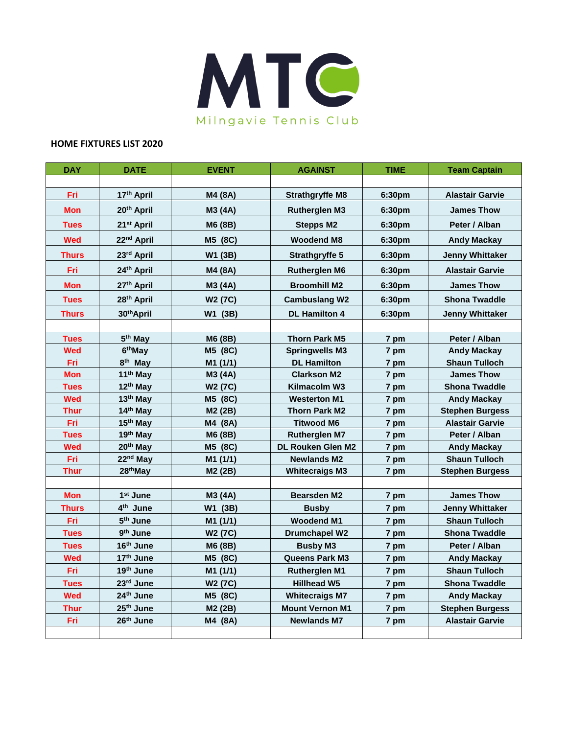

## **HOME FIXTURES LIST 2020**

| <b>DAY</b>   | <b>DATE</b>            | <b>EVENT</b>        | <b>AGAINST</b>         | <b>TIME</b> | <b>Team Captain</b>    |
|--------------|------------------------|---------------------|------------------------|-------------|------------------------|
|              |                        |                     |                        |             |                        |
| Fri          | 17th April             | M4 (8A)             | <b>Strathgryffe M8</b> | 6:30pm      | <b>Alastair Garvie</b> |
| <b>Mon</b>   | 20 <sup>th</sup> April | M3 (4A)             | <b>Rutherglen M3</b>   | 6:30pm      | <b>James Thow</b>      |
| <b>Tues</b>  | 21 <sup>st</sup> April | M6 (8B)             | <b>Stepps M2</b>       | 6:30pm      | Peter / Alban          |
| <b>Wed</b>   | 22 <sup>nd</sup> April | M5 (8C)             | <b>Woodend M8</b>      | 6:30pm      | <b>Andy Mackay</b>     |
| <b>Thurs</b> | 23rd April             | W1 (3B)             | <b>Strathgryffe 5</b>  | 6:30pm      | <b>Jenny Whittaker</b> |
| Fri          | 24th April             | M4 (8A)             | <b>Rutherglen M6</b>   | 6:30pm      | <b>Alastair Garvie</b> |
| <b>Mon</b>   | 27th April             | M3 (4A)             | <b>Broomhill M2</b>    | 6:30pm      | <b>James Thow</b>      |
| <b>Tues</b>  | 28 <sup>th</sup> April | W <sub>2</sub> (7C) | <b>Cambuslang W2</b>   | 6:30pm      | <b>Shona Twaddle</b>   |
| <b>Thurs</b> | 30 <sup>th</sup> April | W1 (3B)             | <b>DL Hamilton 4</b>   | 6:30pm      | <b>Jenny Whittaker</b> |
|              |                        |                     |                        |             |                        |
| <b>Tues</b>  | 5 <sup>th</sup> May    | M6 (8B)             | <b>Thorn Park M5</b>   | 7 pm        | Peter / Alban          |
| <b>Wed</b>   | 6 <sup>th</sup> May    | M5 (8C)             | <b>Springwells M3</b>  | 7 pm        | <b>Andy Mackay</b>     |
| Fri          | 8 <sup>th</sup> May    | M1 (1/1)            | <b>DL Hamilton</b>     | 7 pm        | <b>Shaun Tulloch</b>   |
| <b>Mon</b>   | 11 <sup>th</sup> May   | M3 (4A)             | <b>Clarkson M2</b>     | 7 pm        | <b>James Thow</b>      |
| <b>Tues</b>  | 12 <sup>th</sup> May   | W <sub>2</sub> (7C) | Kilmacolm W3           | 7 pm        | <b>Shona Twaddle</b>   |
| <b>Wed</b>   | 13 <sup>th</sup> May   | M5 (8C)             | <b>Westerton M1</b>    | 7 pm        | <b>Andy Mackay</b>     |
| <b>Thur</b>  | 14th May               | M2 (2B)             | <b>Thorn Park M2</b>   | 7 pm        | <b>Stephen Burgess</b> |
| Fri          | 15 <sup>th</sup> May   | M4 (8A)             | <b>Titwood M6</b>      | 7 pm        | <b>Alastair Garvie</b> |
| <b>Tues</b>  | 19th May               | M6 (8B)             | <b>Rutherglen M7</b>   | 7 pm        | Peter / Alban          |
| <b>Wed</b>   | 20 <sup>th</sup> May   | M5 (8C)             | DL Rouken Glen M2      | 7 pm        | <b>Andy Mackay</b>     |
| Fri          | 22 <sup>nd</sup> May   | M1 (1/1)            | <b>Newlands M2</b>     | 7 pm        | <b>Shaun Tulloch</b>   |
| <b>Thur</b>  | 28 <sup>th</sup> May   | M2 (2B)             | <b>Whitecraigs M3</b>  | 7 pm        | <b>Stephen Burgess</b> |
|              |                        |                     |                        |             |                        |
| <b>Mon</b>   | 1 <sup>st</sup> June   | M3 (4A)             | <b>Bearsden M2</b>     | 7 pm        | <b>James Thow</b>      |
| <b>Thurs</b> | 4 <sup>th</sup> June   | W1 (3B)             | <b>Busby</b>           | 7 pm        | <b>Jenny Whittaker</b> |
| <b>Fri</b>   | 5 <sup>th</sup> June   | M1 (1/1)            | <b>Woodend M1</b>      | 7 pm        | <b>Shaun Tulloch</b>   |
| <b>Tues</b>  | 9 <sup>th</sup> June   | W <sub>2</sub> (7C) | <b>Drumchapel W2</b>   | 7 pm        | <b>Shona Twaddle</b>   |
| <b>Tues</b>  | 16th June              | M6 (8B)             | <b>Busby M3</b>        | 7 pm        | Peter / Alban          |
| <b>Wed</b>   | 17 <sup>th</sup> June  | M5 (8C)             | Queens Park M3         | 7 pm        | <b>Andy Mackay</b>     |
| <b>Fri</b>   | 19th June              | M1 (1/1)            | <b>Rutherglen M1</b>   | 7 pm        | <b>Shaun Tulloch</b>   |
| <b>Tues</b>  | 23rd June              | W <sub>2</sub> (7C) | <b>Hillhead W5</b>     | 7 pm        | <b>Shona Twaddle</b>   |
| <b>Wed</b>   | 24 <sup>th</sup> June  | M5 (8C)             | <b>Whitecraigs M7</b>  | 7 pm        | <b>Andy Mackay</b>     |
| <b>Thur</b>  | 25 <sup>th</sup> June  | M2 (2B)             | <b>Mount Vernon M1</b> | 7 pm        | <b>Stephen Burgess</b> |
| Fri          | 26th June              | M4 (8A)             | <b>Newlands M7</b>     | 7 pm        | <b>Alastair Garvie</b> |
|              |                        |                     |                        |             |                        |